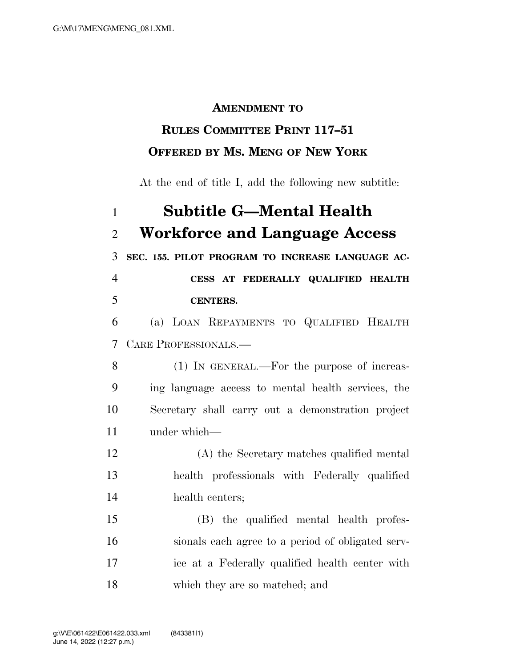## **AMENDMENT TO**

## **RULES COMMITTEE PRINT 117–51 OFFERED BY MS. MENG OF NEW YORK**

At the end of title I, add the following new subtitle:

## **Subtitle G—Mental Health Workforce and Language Access SEC. 155. PILOT PROGRAM TO INCREASE LANGUAGE AC- CESS AT FEDERALLY QUALIFIED HEALTH CENTERS.**  (a) LOAN REPAYMENTS TO QUALIFIED HEALTH CARE PROFESSIONALS.— (1) IN GENERAL.—For the purpose of increas- ing language access to mental health services, the Secretary shall carry out a demonstration project under which— (A) the Secretary matches qualified mental health professionals with Federally qualified health centers; (B) the qualified mental health profes- sionals each agree to a period of obligated serv- ice at a Federally qualified health center with which they are so matched; and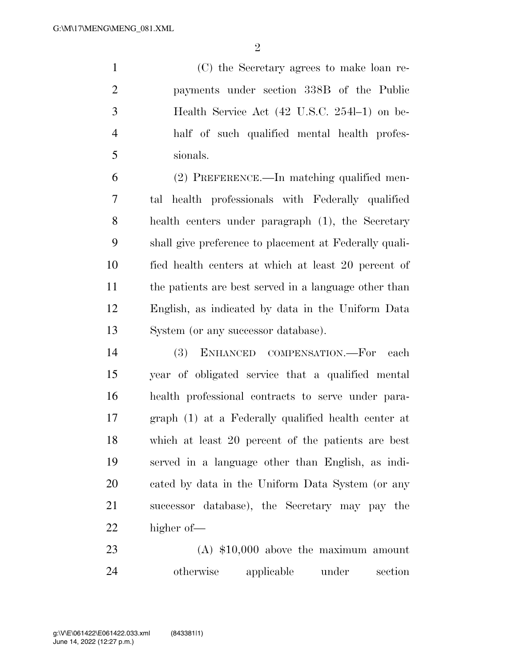$\mathfrak{D}$ 

 (C) the Secretary agrees to make loan re- payments under section 338B of the Public Health Service Act (42 U.S.C. 254l–1) on be- half of such qualified mental health profes-sionals.

 (2) PREFERENCE.—In matching qualified men- tal health professionals with Federally qualified health centers under paragraph (1), the Secretary shall give preference to placement at Federally quali- fied health centers at which at least 20 percent of the patients are best served in a language other than English, as indicated by data in the Uniform Data System (or any successor database).

 (3) ENHANCED COMPENSATION.—For each year of obligated service that a qualified mental health professional contracts to serve under para- graph (1) at a Federally qualified health center at which at least 20 percent of the patients are best served in a language other than English, as indi- cated by data in the Uniform Data System (or any successor database), the Secretary may pay the higher of—

 (A) \$10,000 above the maximum amount otherwise applicable under section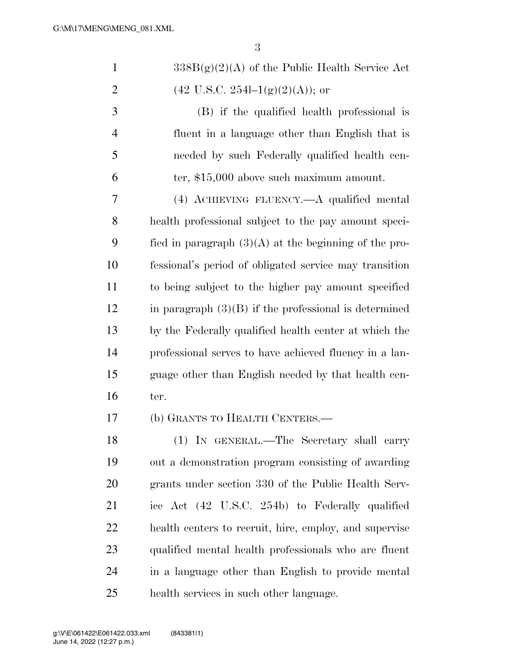| $\mathbf{1}$   | $338B(g)(2)(A)$ of the Public Health Service Act        |
|----------------|---------------------------------------------------------|
| $\overline{2}$ | $(42 \text{ U.S.C. } 254l-1(g)(2)(A));$ or              |
| 3              | (B) if the qualified health professional is             |
| $\overline{4}$ | fluent in a language other than English that is         |
| 5              | needed by such Federally qualified health cen-          |
| 6              | ter, \$15,000 above such maximum amount.                |
| 7              | (4) ACHIEVING FLUENCY.—A qualified mental               |
| 8              | health professional subject to the pay amount speci-    |
| 9              | fied in paragraph $(3)(A)$ at the beginning of the pro- |
| 10             | fessional's period of obligated service may transition  |
| 11             | to being subject to the higher pay amount specified     |
| 12             | in paragraph $(3)(B)$ if the professional is determined |
| 13             | by the Federally qualified health center at which the   |
| 14             | professional serves to have achieved fluency in a lan-  |
| 15             | guage other than English needed by that health cen-     |
| 16             | ter.                                                    |
| 17             | (b) GRANTS TO HEALTH CENTERS.-                          |
| 18             | (1) IN GENERAL.—The Secretary shall carry               |
| 19             | out a demonstration program consisting of awarding      |
| 20             | grants under section 330 of the Public Health Serv-     |
| 21             | ice Act (42 U.S.C. 254b) to Federally qualified         |
| 22             | health centers to recruit, hire, employ, and supervise  |
| 23             | qualified mental health professionals who are fluent    |
| 24             | in a language other than English to provide mental      |
| 25             | health services in such other language.                 |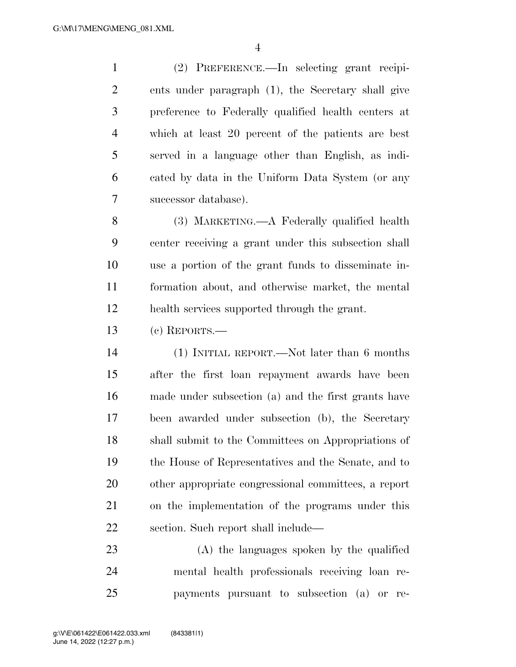(2) PREFERENCE.—In selecting grant recipi- ents under paragraph (1), the Secretary shall give preference to Federally qualified health centers at which at least 20 percent of the patients are best served in a language other than English, as indi- cated by data in the Uniform Data System (or any successor database).

 (3) MARKETING.—A Federally qualified health center receiving a grant under this subsection shall use a portion of the grant funds to disseminate in- formation about, and otherwise market, the mental health services supported through the grant.

(c) REPORTS.—

 (1) INITIAL REPORT.—Not later than 6 months after the first loan repayment awards have been made under subsection (a) and the first grants have been awarded under subsection (b), the Secretary shall submit to the Committees on Appropriations of the House of Representatives and the Senate, and to other appropriate congressional committees, a report on the implementation of the programs under this section. Such report shall include—

 (A) the languages spoken by the qualified mental health professionals receiving loan re-payments pursuant to subsection (a) or re-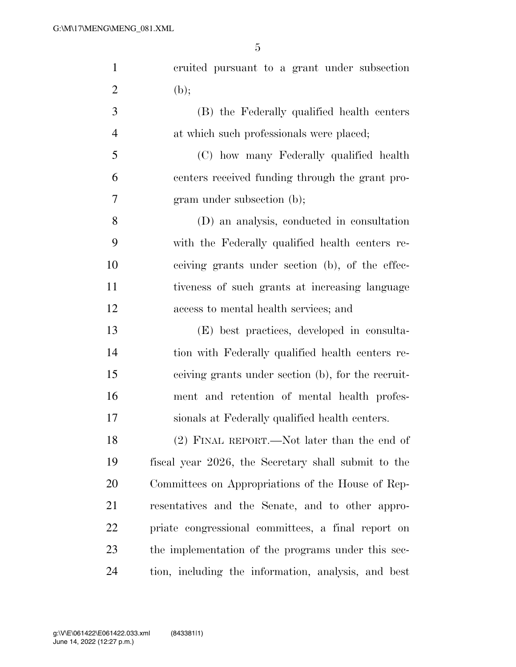| $\mathbf{1}$   | cruited pursuant to a grant under subsection        |
|----------------|-----------------------------------------------------|
| $\overline{2}$ | (b);                                                |
| 3              | (B) the Federally qualified health centers          |
| $\overline{4}$ | at which such professionals were placed;            |
| 5              | (C) how many Federally qualified health             |
| 6              | centers received funding through the grant pro-     |
| 7              | gram under subsection (b);                          |
| 8              | (D) an analysis, conducted in consultation          |
| 9              | with the Federally qualified health centers re-     |
| 10             | ceiving grants under section (b), of the effec-     |
| 11             | tiveness of such grants at increasing language      |
| 12             | access to mental health services; and               |
| 13             | (E) best practices, developed in consulta-          |
| 14             | tion with Federally qualified health centers re-    |
| 15             | ceiving grants under section (b), for the recruit-  |
| 16             | ment and retention of mental health profes-         |
| 17             | sionals at Federally qualified health centers.      |
| 18             | $(2)$ FINAL REPORT.—Not later than the end of       |
| 19             | fiscal year 2026, the Secretary shall submit to the |
| 20             | Committees on Appropriations of the House of Rep-   |
| 21             | resentatives and the Senate, and to other appro-    |
| 22             | priate congressional committees, a final report on  |
| 23             | the implementation of the programs under this sec-  |
| 24             | tion, including the information, analysis, and best |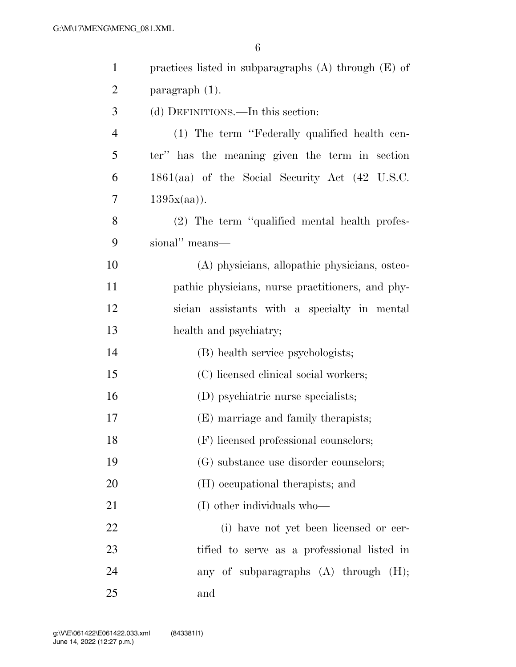| $\mathbf{1}$   | practices listed in subparagraphs $(A)$ through $(E)$ of |
|----------------|----------------------------------------------------------|
| $\overline{2}$ | paragraph $(1)$ .                                        |
| 3              | (d) DEFINITIONS.—In this section:                        |
| $\overline{4}$ | (1) The term "Federally qualified health cen-            |
| 5              | ter" has the meaning given the term in section           |
| 6              | 1861(aa) of the Social Security Act (42 U.S.C.           |
| 7              | 1395x(aa).                                               |
| 8              | (2) The term "qualified mental health profes-            |
| 9              | sional" means-                                           |
| 10             | (A) physicians, allopathic physicians, osteo-            |
| 11             | pathic physicians, nurse practitioners, and phy-         |
| 12             | sician assistants with a specialty in mental             |
| 13             | health and psychiatry;                                   |
| 14             | (B) health service psychologists;                        |
| 15             | (C) licensed clinical social workers;                    |
| 16             | (D) psychiatric nurse specialists;                       |
| 17             | (E) marriage and family therapists;                      |
| 18             | (F) licensed professional counselors;                    |
| 19             | (G) substance use disorder counselors;                   |
| 20             | (H) occupational therapists; and                         |
| 21             | (I) other individuals who—                               |
| 22             | (i) have not yet been licensed or cer-                   |
| 23             | tified to serve as a professional listed in              |
| 24             | any of subparagraphs $(A)$ through $(H)$ ;               |
| 25             | and                                                      |